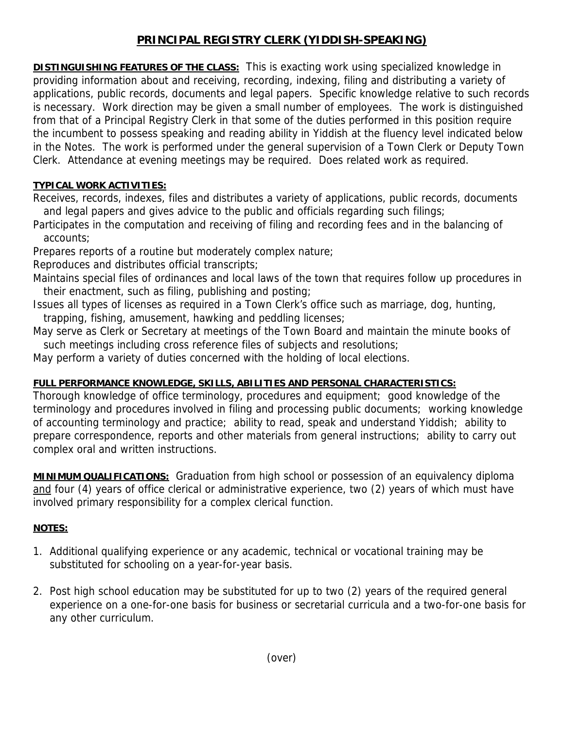## **PRINCIPAL REGISTRY CLERK (YIDDISH-SPEAKING)**

**DISTINGUISHING FEATURES OF THE CLASS:** This is exacting work using specialized knowledge in providing information about and receiving, recording, indexing, filing and distributing a variety of applications, public records, documents and legal papers. Specific knowledge relative to such records is necessary. Work direction may be given a small number of employees. The work is distinguished from that of a Principal Registry Clerk in that some of the duties performed in this position require the incumbent to possess speaking and reading ability in Yiddish at the fluency level indicated below in the Notes. The work is performed under the general supervision of a Town Clerk or Deputy Town Clerk. Attendance at evening meetings may be required. Does related work as required.

## **TYPICAL WORK ACTIVITIES:**

Receives, records, indexes, files and distributes a variety of applications, public records, documents and legal papers and gives advice to the public and officials regarding such filings;

Participates in the computation and receiving of filing and recording fees and in the balancing of accounts;

Prepares reports of a routine but moderately complex nature;

Reproduces and distributes official transcripts;

- Maintains special files of ordinances and local laws of the town that requires follow up procedures in their enactment, such as filing, publishing and posting;
- Issues all types of licenses as required in a Town Clerk's office such as marriage, dog, hunting, trapping, fishing, amusement, hawking and peddling licenses;
- May serve as Clerk or Secretary at meetings of the Town Board and maintain the minute books of such meetings including cross reference files of subjects and resolutions;

May perform a variety of duties concerned with the holding of local elections.

## **FULL PERFORMANCE KNOWLEDGE, SKILLS, ABILITIES AND PERSONAL CHARACTERISTICS:**

Thorough knowledge of office terminology, procedures and equipment; good knowledge of the terminology and procedures involved in filing and processing public documents; working knowledge of accounting terminology and practice; ability to read, speak and understand Yiddish; ability to prepare correspondence, reports and other materials from general instructions; ability to carry out complex oral and written instructions.

**MINIMUM QUALIFICATIONS:** Graduation from high school or possession of an equivalency diploma and four (4) years of office clerical or administrative experience, two (2) years of which must have involved primary responsibility for a complex clerical function.

## **NOTES:**

- 1. Additional qualifying experience or any academic, technical or vocational training may be substituted for schooling on a year-for-year basis.
- 2. Post high school education may be substituted for up to two (2) years of the required general experience on a one-for-one basis for business or secretarial curricula and a two-for-one basis for any other curriculum.